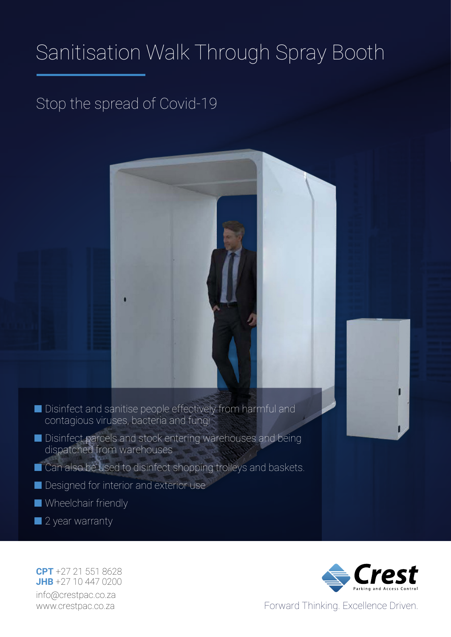# Sanitisation Walk Through Spray Booth

## Stop the spread of Covid-19

- Disinfect and sanitise people effectively from harmful and contagious viruses, bacteria and fungi
- Disinfect parcels and stock entering warehouses and being dispatched from warehouses
- Can also be used to disinfect shopping trolleys and baskets.
- Designed for interior and exterior use
- Wheelchair friendly
- 2 year warranty

**JHB** +27 10 447 0200 info@crestpac.co.za www.crestpac.co.za **CPT** +27 21 551 8628



Forward Thinking. Excellence Driven.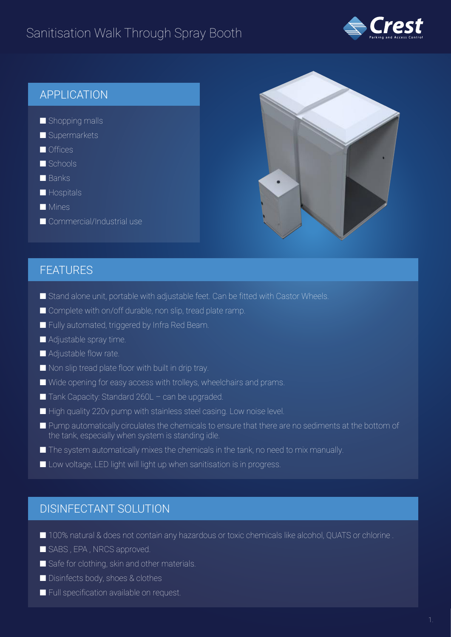## Sanitisation Walk Through Spray Booth



## APPLICATION

- Shopping malls
- Supermarkets
- Offices
- Schools
- Banks
- Hospitals
- Mines
- Commercial/Industrial use



### FEATURES

- Stand alone unit, portable with adjustable feet. Can be fitted with Castor Wheels.
- Complete with on/off durable, non slip, tread plate ramp.
- Fully automated, triggered by Infra Red Beam.
- Adjustable spray time.
- Adjustable flow rate.
- Non slip tread plate floor with built in drip tray.
- Wide opening for easy access with trolleys, wheelchairs and prams.
- $\blacksquare$  Tank Capacity: Standard 260L can be upgraded.
- High quality 220v pump with stainless steel casing. Low noise level.
- Pump automatically circulates the chemicals to ensure that there are no sediments at the bottom of the tank, especially when system is standing idle.
- The system automatically mixes the chemicals in the tank, no need to mix manually.
- Low voltage, LED light will light up when sanitisation is in progress.

### DISINFECTANT SOLUTION

- 100% natural & does not contain any hazardous or toxic chemicals like alcohol, QUATS or chlorine .
- SABS, EPA, NRCS approved.
- Safe for clothing, skin and other materials.
- Disinfects body, shoes & clothes
- Full specification available on request.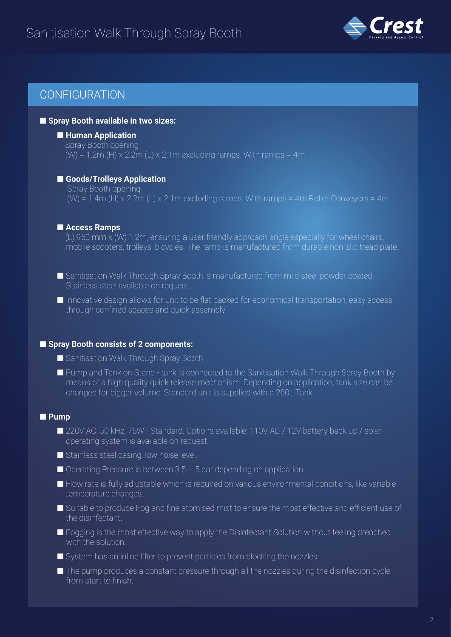## Sanitisation Walk Through Spray Booth



## **CONFIGURATION**

#### ■ **Spray Booth available in two sizes:**

#### ■ **Human Application**

 Spray Booth opening  $(W) = 1.2$ m (H) x 2.2m (L) x 2.1m excluding ramps. With ramps = 4m

#### ■ **Goods/Trolleys Application**

 Spray Booth opening  $(W) = 1.4m$  (H) x 2.2m (L) x 2.1m excluding ramps. With ramps = 4m Roller Conveyors = 4m

#### ■ **Access Ramps**

 (L) 950 mm x (W) 1.2m, ensuring a user friendly approach angle especially for wheel chairs, mobile scooters, trolleys, bicycles. The ramp is manufactured from durable non-slip tread plate.

- Sanitisation Walk Through Spray Booth is manufactured from mild steel powder coated. Stainless steel available on request.
- Innovative design allows for unit to be flat packed for economical transportation, easy access through confined spaces and quick assembly.

#### ■ **Spray Booth consists of 2 components:**

- Sanitisation Walk Through Spray Booth
- Pump and Tank on Stand tank is connected to the Sanitisation Walk Through Spray Booth by means of a high quality quick release mechanism. Depending on application, tank size can be changed for bigger volume. Standard unit is supplied with a 260L Tank.

#### ■ **Pump**

- 220V AC, 50 kHz, 75W Standard. Options available: 110V AC / 12V battery back up / solar operating system is available on request.
- Stainless steel casing, low noise level.
- $\blacksquare$  Operating Pressure is between 3.5 5 bar depending on application.
- Flow rate is fully adjustable which is required on various environmental conditions, like variable temperature changes.
- Suitable to produce Fog and fine atomised mist to ensure the most effective and efficient use of the disinfectant.
- Fogging is the most effective way to apply the Disinfectant Solution without feeling drenched with the solution.
- System has an inline filter to prevent particles from blocking the nozzles.
- The pump produces a constant pressure through all the nozzles during the disinfection cycle from start to finish.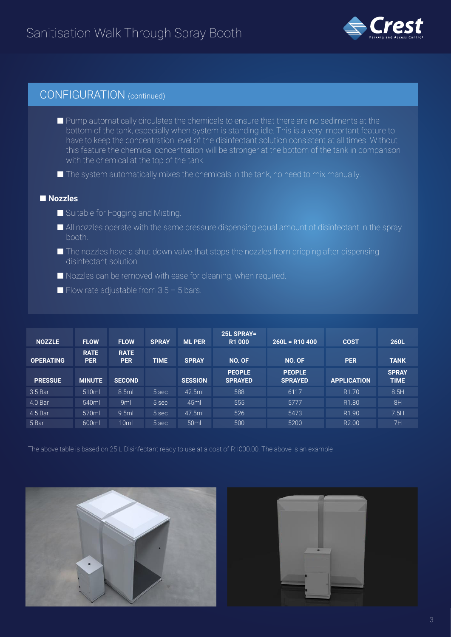

## CONFIGURATION (continued)

- Pump automatically circulates the chemicals to ensure that there are no sediments at the bottom of the tank, especially when system is standing idle. This is a very important feature to have to keep the concentration level of the disinfectant solution consistent at all times. Without this feature the chemical concentration will be stronger at the bottom of the tank in comparison with the chemical at the top of the tank.
- $\blacksquare$  The system automatically mixes the chemicals in the tank, no need to mix manually.

#### ■ **Nozzles**

- Suitable for Fogging and Misting.
- All nozzles operate with the same pressure dispensing equal amount of disinfectant in the spray booth.
- $\blacksquare$  The nozzles have a shut down valve that stops the nozzles from dripping after dispensing disinfectant solution.
- Nozzles can be removed with ease for cleaning, when required.
- $\blacksquare$  Flow rate adjustable from 3.5 5 bars.

| <b>NOZZLE</b>    | <b>FLOW</b>               | <b>FLOW</b>               | <b>SPRAY</b> | <b>ML PER</b>    | 25L SPRAY=<br><b>R1000</b>      | $260L = R10 400$                | <b>COST</b>        | <b>260L</b>                 |
|------------------|---------------------------|---------------------------|--------------|------------------|---------------------------------|---------------------------------|--------------------|-----------------------------|
| <b>OPERATING</b> | <b>RATE</b><br><b>PER</b> | <b>RATE</b><br><b>PER</b> | <b>TIME</b>  | <b>SPRAY</b>     | NO. OF                          | NO. OF                          | <b>PER</b>         | <b>TANK</b>                 |
| <b>PRESSUE</b>   | <b>MINUTE</b>             | <b>SECOND</b>             |              | <b>SESSION</b>   | <b>PEOPLE</b><br><b>SPRAYED</b> | <b>PEOPLE</b><br><b>SPRAYED</b> | <b>APPLICATION</b> | <b>SPRAY</b><br><b>TIME</b> |
| 3.5 Bar          | 510ml                     | 8.5ml                     | 5 sec        | 42.5ml           | 588                             | 6117                            | R <sub>1.70</sub>  | 8.5H                        |
| 4.0 Bar          | 540ml                     | 9ml                       | 5 sec        | 45ml             | 555                             | 5777                            | R <sub>1.80</sub>  | 8H                          |
| 4.5 Bar          | 570ml                     | 9.5ml                     | 5 sec        | 47.5ml           | 526                             | 5473                            | R <sub>1.90</sub>  | 7.5H                        |
| 5 Bar            | 600ml                     | 10 <sub>ml</sub>          | 5 sec        | 50 <sub>ml</sub> | 500                             | 5200                            | R <sub>2.00</sub>  | 7H                          |

The above table is based on 25 L Disinfectant ready to use at a cost of R1000.00. The above is an example



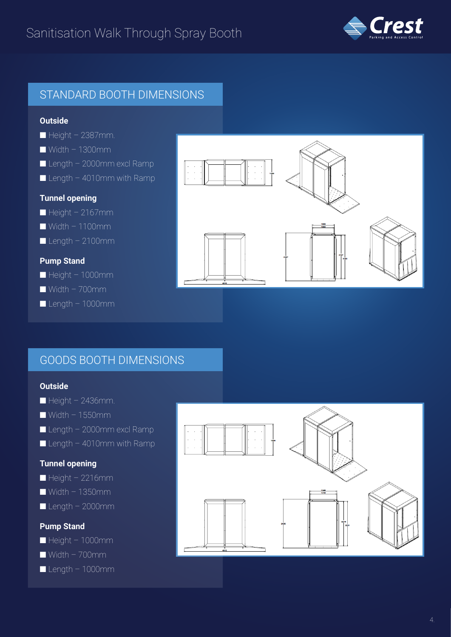

## STANDARD BOOTH DIMENSIONS

#### **Outside**

- $\blacksquare$  Height 2387mm.
- Width 1300mm
- $\blacksquare$  Length 2000mm excl Ramp
- $\blacksquare$  Length 4010mm with Ramp

#### **Tunnel opening**

- $\blacksquare$  Height 2167mm
- $\blacksquare$  Width 1100mm
- $\blacksquare$  Length 2100mm

#### **Pump Stand**

- Height 1000mm
- $\blacksquare$  Width 700mm
- Length 1000mm



### GOODS BOOTH DIMENSIONS

#### **Outside**

- $\blacksquare$  Height 2436mm.
- $\blacksquare$  Width 1550mm
- $\blacksquare$  Length 2000mm excl Ramp
- $\blacksquare$  Length 4010mm with Ramp

#### **Tunnel opening**

- $\blacksquare$  Height 2216mm
- $\blacksquare$  Width 1350mm
- $\blacksquare$  Length 2000mm

#### **Pump Stand**

- Height 1000mm
- $\blacksquare$  Width 700mm
- $\blacksquare$  Length 1000mm